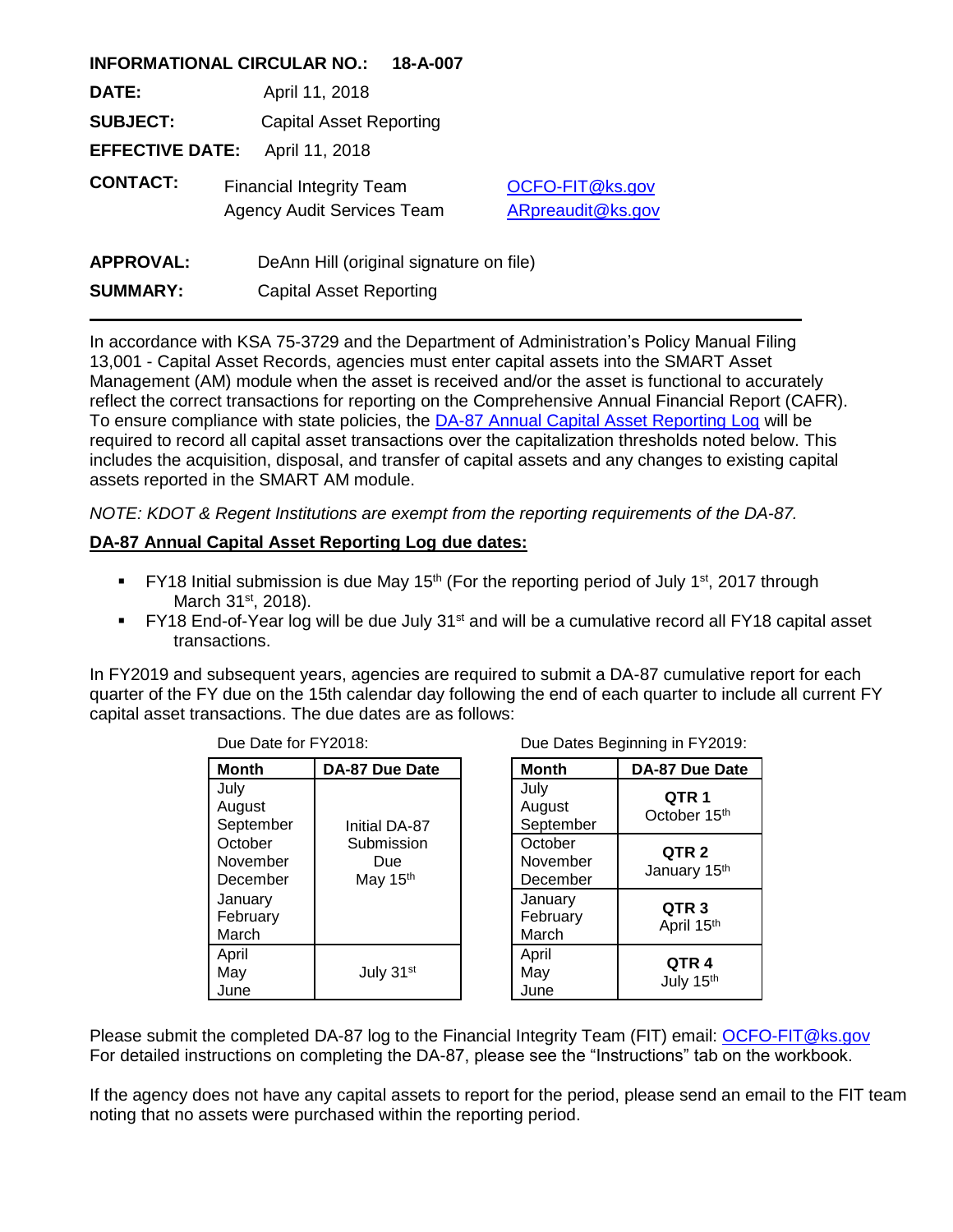|                                          | <b>INFORMATIONAL CIRCULAR NO.:</b> | 18-A-007                                |                   |  |
|------------------------------------------|------------------------------------|-----------------------------------------|-------------------|--|
| DATE:                                    | April 11, 2018                     |                                         |                   |  |
| <b>SUBJECT:</b>                          | <b>Capital Asset Reporting</b>     |                                         |                   |  |
| <b>EFFECTIVE DATE:</b><br>April 11, 2018 |                                    |                                         |                   |  |
| <b>CONTACT:</b>                          | <b>Financial Integrity Team</b>    |                                         | OCFO-FIT@ks.gov   |  |
|                                          | <b>Agency Audit Services Team</b>  |                                         | ARpreaudit@ks.gov |  |
|                                          |                                    |                                         |                   |  |
| <b>APPROVAL:</b>                         |                                    | DeAnn Hill (original signature on file) |                   |  |
| <b>SUMMARY:</b>                          |                                    | <b>Capital Asset Reporting</b>          |                   |  |

In accordance with KSA 75-3729 and the Department of Administration's Policy Manual Filing 13,001 - Capital Asset Records, agencies must enter capital assets into the SMART Asset Management (AM) module when the asset is received and/or the asset is functional to accurately reflect the correct transactions for reporting on the Comprehensive Annual Financial Report (CAFR). To ensure compliance with state policies, the [DA-87 Annual Capital Asset Reporting Log](http://admin.ks.gov/docs/default-source/osm---accounting-forms/da-87-annual-capital-asset-reporting-log.xlsx?sfvrsn=2) will be required to record all capital asset transactions over the capitalization thresholds noted below. This includes the acquisition, disposal, and transfer of capital assets and any changes to existing capital assets reported in the SMART AM module.

*NOTE: KDOT & Regent Institutions are exempt from the reporting requirements of the DA-87.*

## **DA-87 Annual Capital Asset Reporting Log due dates:**

- **FY18** Initial submission is due May 15<sup>th</sup> (For the reporting period of July 1<sup>st</sup>, 2017 through March 31<sup>st</sup>, 2018).
- FY18 End-of-Year log will be due July 31<sup>st</sup> and will be a cumulative record all FY18 capital asset transactions.

In FY2019 and subsequent years, agencies are required to submit a DA-87 cumulative report for each quarter of the FY due on the 15th calendar day following the end of each quarter to include all current FY capital asset transactions. The due dates are as follows:

| טו טבו ווטו טאט שט              |                               |                                 | <u>Dao Datoo Dogmmmig in Feb io.</u>         |  |
|---------------------------------|-------------------------------|---------------------------------|----------------------------------------------|--|
| <b>Month</b>                    | DA-87 Due Date                | <b>Month</b>                    | DA-87 Due Date                               |  |
| July<br>August<br>September     | Initial DA-87                 | July<br>August<br>September     | QTR <sub>1</sub><br>October 15 <sup>th</sup> |  |
| October<br>November<br>December | Submission<br>Due<br>May 15th | October<br>November<br>December | QTR <sub>2</sub><br>January 15th             |  |
| January<br>February<br>March    |                               | January<br>February<br>March    | QTR <sub>3</sub><br>April 15th               |  |
| April<br>May<br>June            | July 31st                     | April<br>May<br>June            | QTR <sub>4</sub><br>July 15th                |  |

Due Date for FY2018: Due Dates Beginning in FY2019:

| <b>Month</b>                    | <b>DA-87 Due Date</b>            |  |  |  |
|---------------------------------|----------------------------------|--|--|--|
| July<br>August<br>September     | QTR 1<br>October 15th            |  |  |  |
| October<br>November<br>December | QTR <sub>2</sub><br>January 15th |  |  |  |
| January<br>February<br>March    | QTR <sub>3</sub><br>April 15th   |  |  |  |
| April<br>May<br>June            | QTR 4<br>July 15th               |  |  |  |

Please submit the completed DA-87 log to the Financial Integrity Team (FIT) email: [OCFO-FIT@ks.gov](mailto:OCFO-FIT@ks.gov) For detailed instructions on completing the DA-87, please see the "Instructions" tab on the workbook.

If the agency does not have any capital assets to report for the period, please send an email to the FIT team noting that no assets were purchased within the reporting period.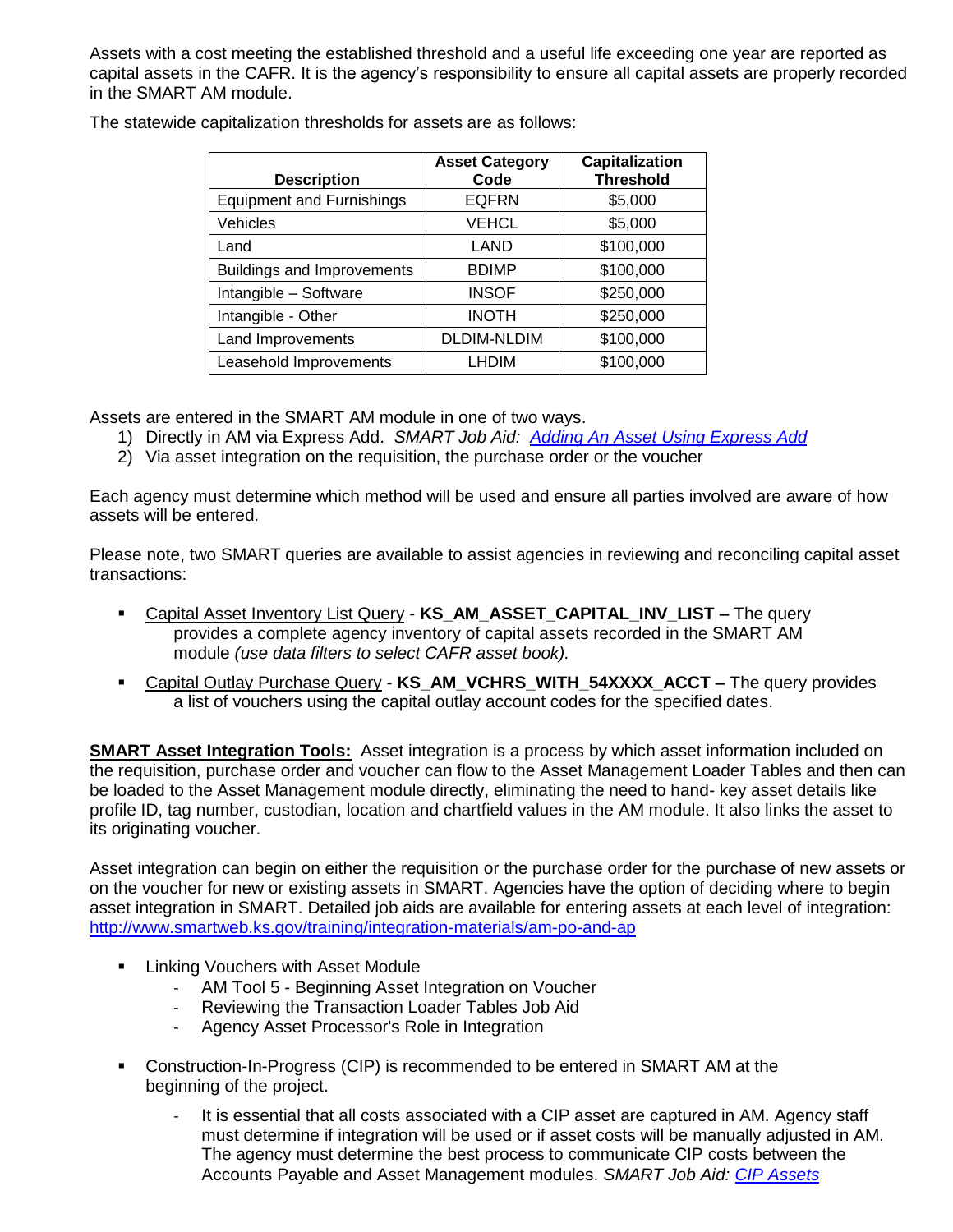Assets with a cost meeting the established threshold and a useful life exceeding one year are reported as capital assets in the CAFR. It is the agency's responsibility to ensure all capital assets are properly recorded in the SMART AM module.

| <b>Description</b>                | <b>Asset Category</b><br>Code | Capitalization<br><b>Threshold</b> |
|-----------------------------------|-------------------------------|------------------------------------|
| <b>Equipment and Furnishings</b>  | <b>EQFRN</b>                  | \$5,000                            |
| Vehicles                          | <b>VEHCL</b>                  | \$5,000                            |
| Land                              | LAND                          | \$100,000                          |
| <b>Buildings and Improvements</b> | <b>BDIMP</b>                  | \$100,000                          |
| Intangible - Software             | <b>INSOF</b>                  | \$250,000                          |
| Intangible - Other                | <b>INOTH</b>                  | \$250,000                          |
| Land Improvements                 | <b>DLDIM-NLDIM</b>            | \$100,000                          |
| Leasehold Improvements            | LHDIM                         | \$100,000                          |

The statewide capitalization thresholds for assets are as follows:

Assets are entered in the SMART AM module in one of two ways.

- 1) Directly in AM via Express Add. *SMART Job Aid: [Adding An Asset Using Express Add](http://smartweb.ks.gov/docs/default-source/asset-management/adding-an-asset-using-express-add.docx?sfvrsn=4)*
- 2) Via asset integration on the requisition, the purchase order or the voucher

Each agency must determine which method will be used and ensure all parties involved are aware of how assets will be entered.

Please note, two SMART queries are available to assist agencies in reviewing and reconciling capital asset transactions:

- Capital Asset Inventory List Query **KS\_AM\_ASSET\_CAPITAL\_INV\_LIST –** The query provides a complete agency inventory of capital assets recorded in the SMART AM module *(use data filters to select CAFR asset book).*
- Capital Outlay Purchase Query **KS\_AM\_VCHRS\_WITH\_54XXXX\_ACCT –** The query provides a list of vouchers using the capital outlay account codes for the specified dates.

**SMART Asset Integration Tools:** Asset integration is a process by which asset information included on the requisition, purchase order and voucher can flow to the Asset Management Loader Tables and then can be loaded to the Asset Management module directly, eliminating the need to hand- key asset details like profile ID, tag number, custodian, location and chartfield values in the AM module. It also links the asset to its originating voucher.

Asset integration can begin on either the requisition or the purchase order for the purchase of new assets or on the voucher for new or existing assets in SMART. Agencies have the option of deciding where to begin asset integration in SMART. Detailed job aids are available for entering assets at each level of integration: <http://www.smartweb.ks.gov/training/integration-materials/am-po-and-ap>

- Linking Vouchers with Asset Module
	- AM Tool 5 Beginning Asset Integration on Voucher
	- Reviewing the Transaction Loader Tables Job Aid
	- Agency Asset Processor's Role in Integration
- Construction-In-Progress (CIP) is recommended to be entered in SMART AM at the beginning of the project.
	- It is essential that all costs associated with a CIP asset are captured in AM. Agency staff must determine if integration will be used or if asset costs will be manually adjusted in AM. The agency must determine the best process to communicate CIP costs between the Accounts Payable and Asset Management modules. *SMART Job Aid: [CIP Assets](../../../nhaufler/AppData/Local/Microsoft/Windows/INetCache/AppData/Local/Microsoft/Windows/INetCache/Content.Outlook/4HF72NXV/All%20assets%20that%20have%20been%20sent%20to%20state%20surplus,%20sold,%20or%20otherwise%20no%20longer%20in%20the%20agency’s%20possession%20should%20be%20disposed%20of%20in%20the%20SMART%20AM%20module%20accordingly.)*